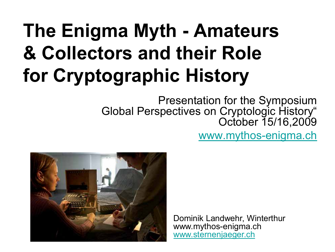### **The Enigma Myth - Amateurs & Collectors and their Role for Cryptographic History**

Presentation for the Symposium Global Perspectives on Cryptologic History" October 15/16,2009

www.mythos-enigma.ch



Dominik Landwehr, Winterthur www.mythos-enigma.ch www.sternenjaeger.ch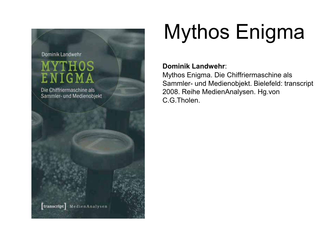

### Mythos Enigma

### **Dominik Landwehr**:

Mythos Enigma. Die Chiffriermaschine als Sammler- und Medienobjekt. Bielefeld: transcript 2008. Reihe MedienAnalysen. Hg.von C.G.Tholen.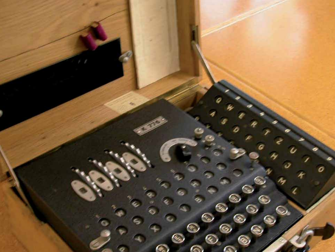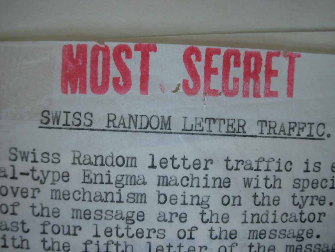# SWISS RANDOM LETTER TRAFFIC.

MOST SECRET

Swiss Random letter traffic is al-type Enigma machine with speci over mechanism being on the tyre. of the message are the indicator ast four letters of the message.<br>ith the fifth letter of the message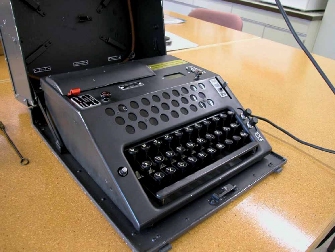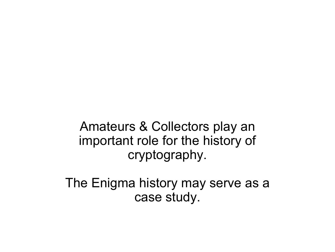Amateurs & Collectors play an important role for the history of cryptography.

The Enigma history may serve as a case study.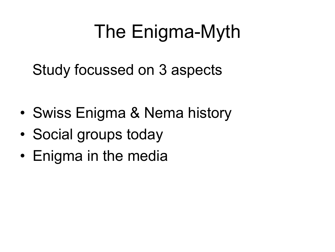### The Enigma-Myth

Study focussed on 3 aspects

- •Swiss Enigma & Nema history
- •Social groups today
- Enigma in the media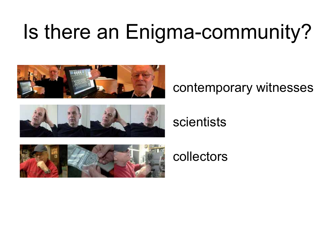### Is there an Enigma-community?



### contemporary witnesses



### scientists



collectors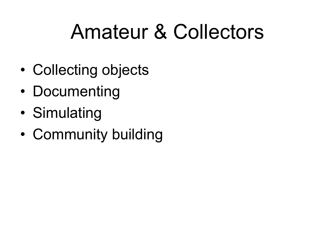### Amateur & Collectors

- •Collecting objects
- Documenting
- •Simulating
- •Community building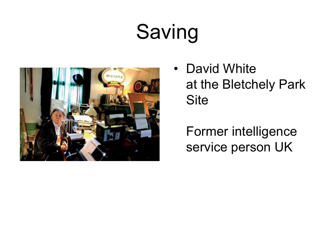### Saving



• David Whiteat the Bletchely Park **Site** 

Former intelligence service person UK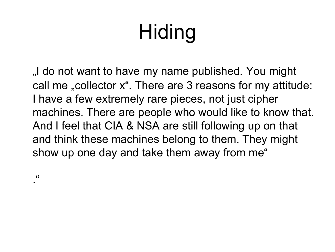## **Hiding**

"I do not want to have my name published. You might call me "collector  $x^*$ . There are 3 reasons for my attitude: I have a few extremely rare pieces, not just cipher machines. There are people who would like to know that. And I feel that CIA & NSA are still following up on that and think these machines belong to them. They might show up one day and take them away from me"

 $\epsilon$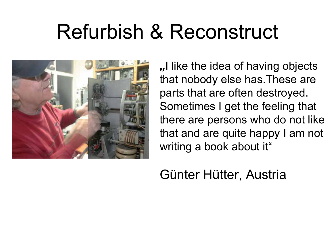### Refurbish & Reconstruct



*"*I like the idea of having objects that nobody else has.These are parts that are often destroyed. Sometimes I get the feeling that there are persons who do not like that and are quite happy I am not writing a book about it"

Günter Hütter, Austria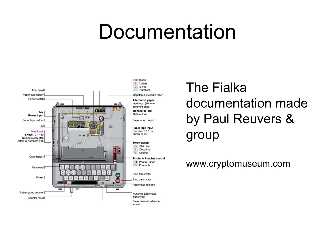### Documentation



The Fialka documentation made by Paul Reuvers & group

www.cryptomuseum.com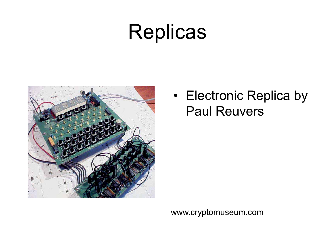### **Replicas**



• Electronic Replica by Paul Reuvers

www.cryptomuseum.com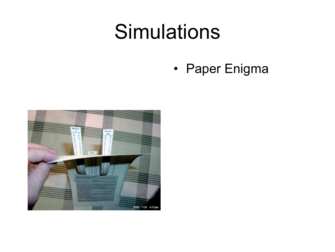### Simulations

• Paper Enigma

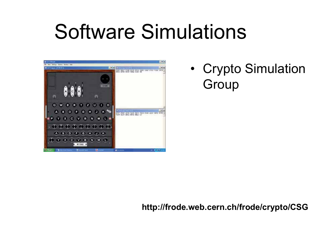### Software Simulations



• Crypto Simulation **Group** 

**http://frode.web.cern.ch/frode/crypto/CSG**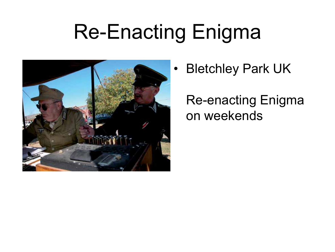### Re-Enacting Enigma



•Bletchley Park UK

Re-enacting Enigma on weekends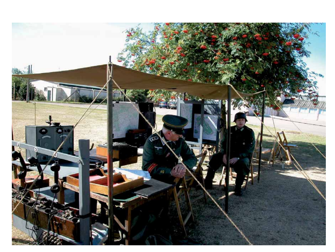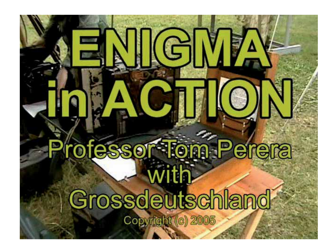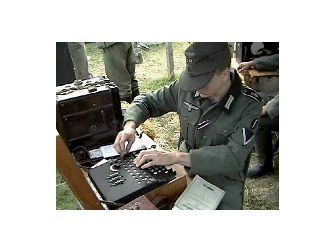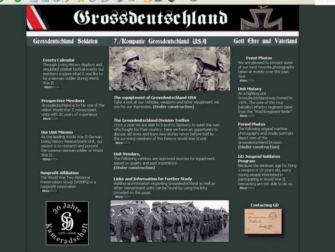### Grossdeutschland



### Grossdeutschland Soldaten

### **Events Calendar**

Through Living History displays and simulated combat tactical events our members explore what it was like to be a German soldier during World War II More

### **Prospective Members**

Grossdeutschland is by far one of the oldest World War II reenactment units with 30 years of experience More

### **Our Unit Mission**

As the leading World War II German Living History Reenactment Unit, our mission is to research and present the common German soldier of World War II **More** 

### **Nonprofit Affiliation**

The World War Two Historical Preservation Group (W2HPG) is a nonprofit corporation More





### The equiptment of Grossdeutschland-USA

Take a look at our vehicles, weapons and other equiptment we use for our impression. (Under construction)

### The Grossdeutschland Division Treffen

Once a year we are able to travel to Germany to meet the men who fought for their country. Here we have an opportunity to discuss old times and learn new stories never before told by the surviving members of this famous World War II unit. More

### Unit Vendors,

The Following vendors are approved sources for equiptment based on quality and past experience. (Under construction)

### Links and Information for Further Study

Additional information regarding Grossdeutschland as well as other reenactment units can be found by using the links provided on this page. More



### Gott Ebre und Vaterland

### **Event Photos**

We are pleased to present some of our most favorite photographs taken at events over this past Year.

### **More**

### **Unit History**

As a fighting unit Grossdeutschland was formed in 1939. The core of this four battalion infantry regiment came from the "Wachtregiment Berlin". Mare

### **Period Photos**

The following original wartime photographs and studio portraits depict men of the Grossdeutschland Division. (Under construction)

### **GD Jungend Soldaten** Program

Because the minimum age for firing a weapon is 18 years old, many young people interested in participating in World War II reenacting are not able to do so. **More** 

### **Contacting GD**

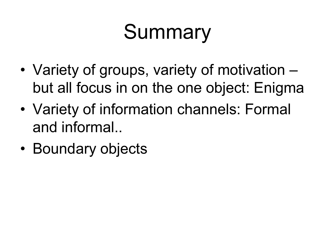### **Summary**

- • Variety of groups, variety of motivation – but all focus in on the one object: Enigma
- • Variety of information channels: Formal and informal..
- Boundary objects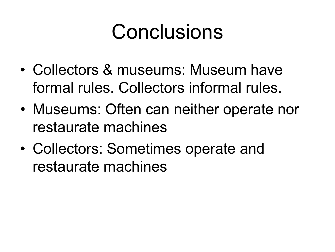### Conclusions

- Collectors & museums: Museum have formal rules. Collectors informal rules.
- • Museums: Often can neither operate nor restaurate machines
- • Collectors: Sometimes operate and restaurate machines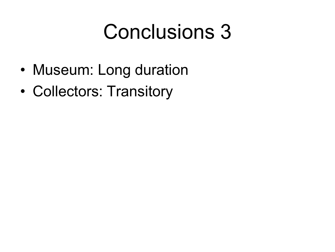### Conclusions 3

- Museum: Long duration
- •Collectors: Transitory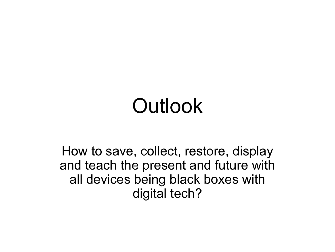### **Outlook**

How to save, collect, restore, display and teach the present and future with all devices being black boxes with digital tech?